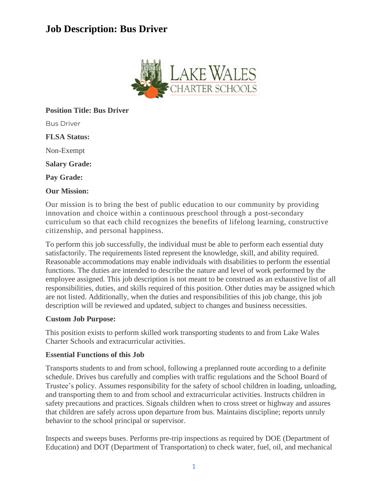# **Job Description: Bus Driver**



# **Position Title: Bus Driver**

Bus Driver

**FLSA Status:**

Non-Exempt

**Salary Grade:**

**Pay Grade:**

### **Our Mission:**

Our mission is to bring the best of public education to our community by providing innovation and choice within a continuous preschool through a post-secondary curriculum so that each child recognizes the benefits of lifelong learning, constructive citizenship, and personal happiness.

To perform this job successfully, the individual must be able to perform each essential duty satisfactorily. The requirements listed represent the knowledge, skill, and ability required. Reasonable accommodations may enable individuals with disabilities to perform the essential functions. The duties are intended to describe the nature and level of work performed by the employee assigned. This job description is not meant to be construed as an exhaustive list of all responsibilities, duties, and skills required of this position. Other duties may be assigned which are not listed. Additionally, when the duties and responsibilities of this job change, this job description will be reviewed and updated, subject to changes and business necessities.

### **Custom Job Purpose:**

This position exists to perform skilled work transporting students to and from Lake Wales Charter Schools and extracurricular activities.

### **Essential Functions of this Job**

Transports students to and from school, following a preplanned route according to a definite schedule. Drives bus carefully and complies with traffic regulations and the School Board of Trustee's policy. Assumes responsibility for the safety of school children in loading, unloading, and transporting them to and from school and extracurricular activities. Instructs children in safety precautions and practices. Signals children when to cross street or highway and assures that children are safely across upon departure from bus. Maintains discipline; reports unruly behavior to the school principal or supervisor.

Inspects and sweeps buses. Performs pre-trip inspections as required by DOE (Department of Education) and DOT (Department of Transportation) to check water, fuel, oil, and mechanical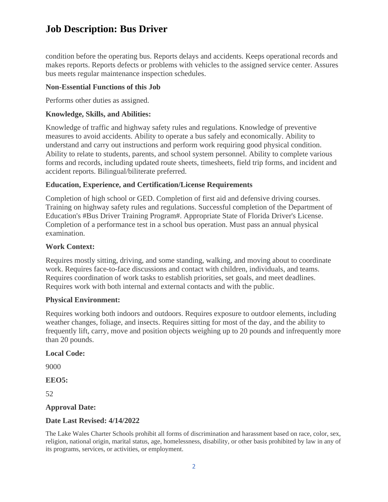# **Job Description: Bus Driver**

condition before the operating bus. Reports delays and accidents. Keeps operational records and makes reports. Reports defects or problems with vehicles to the assigned service center. Assures bus meets regular maintenance inspection schedules.

## **Non-Essential Functions of this Job**

Performs other duties as assigned.

# **Knowledge, Skills, and Abilities:**

Knowledge of traffic and highway safety rules and regulations. Knowledge of preventive measures to avoid accidents. Ability to operate a bus safely and economically. Ability to understand and carry out instructions and perform work requiring good physical condition. Ability to relate to students, parents, and school system personnel. Ability to complete various forms and records, including updated route sheets, timesheets, field trip forms, and incident and accident reports. Bilingual/biliterate preferred.

# **Education, Experience, and Certification/License Requirements**

Completion of high school or GED. Completion of first aid and defensive driving courses. Training on highway safety rules and regulations. Successful completion of the Department of Education's #Bus Driver Training Program#. Appropriate State of Florida Driver's License. Completion of a performance test in a school bus operation. Must pass an annual physical examination.

# **Work Context:**

Requires mostly sitting, driving, and some standing, walking, and moving about to coordinate work. Requires face-to-face discussions and contact with children, individuals, and teams. Requires coordination of work tasks to establish priorities, set goals, and meet deadlines. Requires work with both internal and external contacts and with the public.

### **Physical Environment:**

Requires working both indoors and outdoors. Requires exposure to outdoor elements, including weather changes, foliage, and insects. Requires sitting for most of the day, and the ability to frequently lift, carry, move and position objects weighing up to 20 pounds and infrequently more than 20 pounds.

### **Local Code:**

9000

**EEO5:**

52

# **Approval Date:**

# **Date Last Revised: 4/14/2022**

The Lake Wales Charter Schools prohibit all forms of discrimination and harassment based on race, color, sex, religion, national origin, marital status, age, homelessness, disability, or other basis prohibited by law in any of its programs, services, or activities, or employment.